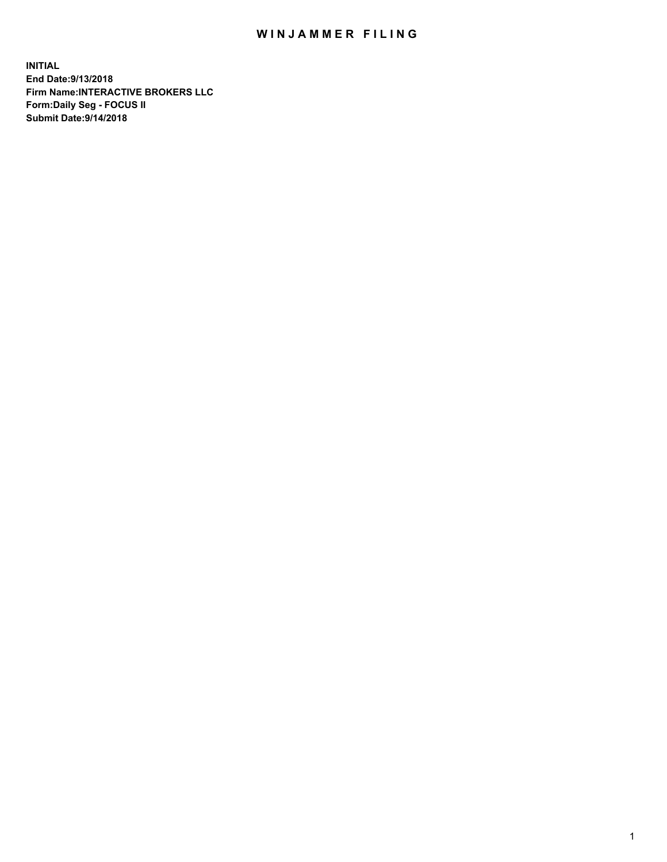## WIN JAMMER FILING

**INITIAL End Date:9/13/2018 Firm Name:INTERACTIVE BROKERS LLC Form:Daily Seg - FOCUS II Submit Date:9/14/2018**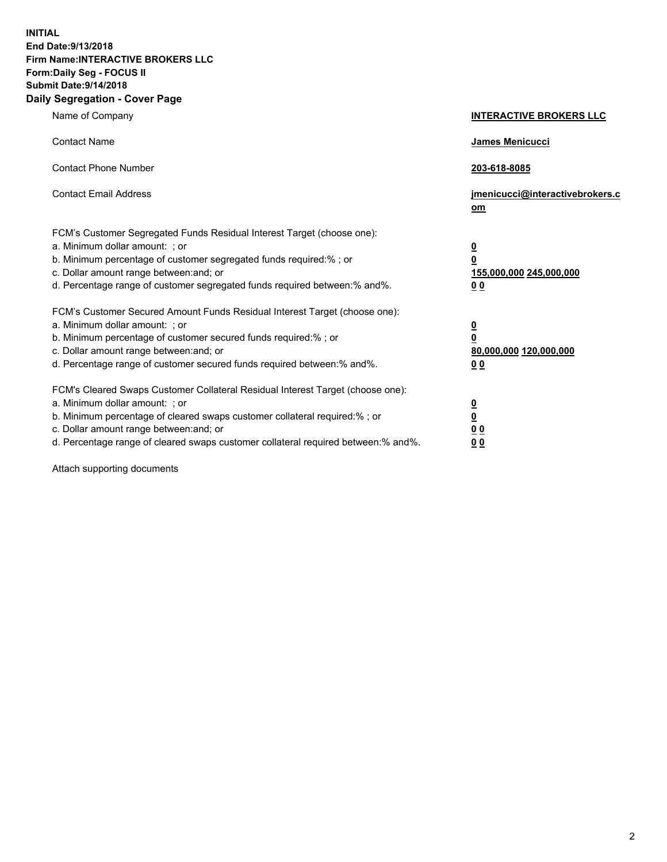**INITIAL End Date:9/13/2018 Firm Name:INTERACTIVE BROKERS LLC Form:Daily Seg - FOCUS II Submit Date:9/14/2018 Daily Segregation - Cover Page**

| Name of Company                                                                                                                                                                                                                                                                                                                | <b>INTERACTIVE BROKERS LLC</b>                                                                  |
|--------------------------------------------------------------------------------------------------------------------------------------------------------------------------------------------------------------------------------------------------------------------------------------------------------------------------------|-------------------------------------------------------------------------------------------------|
| <b>Contact Name</b>                                                                                                                                                                                                                                                                                                            | James Menicucci                                                                                 |
| <b>Contact Phone Number</b>                                                                                                                                                                                                                                                                                                    | 203-618-8085                                                                                    |
| <b>Contact Email Address</b>                                                                                                                                                                                                                                                                                                   | jmenicucci@interactivebrokers.c<br>om                                                           |
| FCM's Customer Segregated Funds Residual Interest Target (choose one):<br>a. Minimum dollar amount: ; or<br>b. Minimum percentage of customer segregated funds required:% ; or<br>c. Dollar amount range between: and; or<br>d. Percentage range of customer segregated funds required between:% and%.                         | $\overline{\mathbf{0}}$<br>$\overline{\mathbf{0}}$<br>155,000,000 245,000,000<br>0 <sub>0</sub> |
| FCM's Customer Secured Amount Funds Residual Interest Target (choose one):<br>a. Minimum dollar amount: ; or<br>b. Minimum percentage of customer secured funds required:% ; or<br>c. Dollar amount range between: and; or<br>d. Percentage range of customer secured funds required between:% and%.                           | $\overline{\mathbf{0}}$<br>0<br>80,000,000 120,000,000<br>0 <sub>0</sub>                        |
| FCM's Cleared Swaps Customer Collateral Residual Interest Target (choose one):<br>a. Minimum dollar amount: ; or<br>b. Minimum percentage of cleared swaps customer collateral required:% ; or<br>c. Dollar amount range between: and; or<br>d. Percentage range of cleared swaps customer collateral required between:% and%. | $\overline{\mathbf{0}}$<br><u>0</u><br>$\underline{0}$ $\underline{0}$<br>00                    |

Attach supporting documents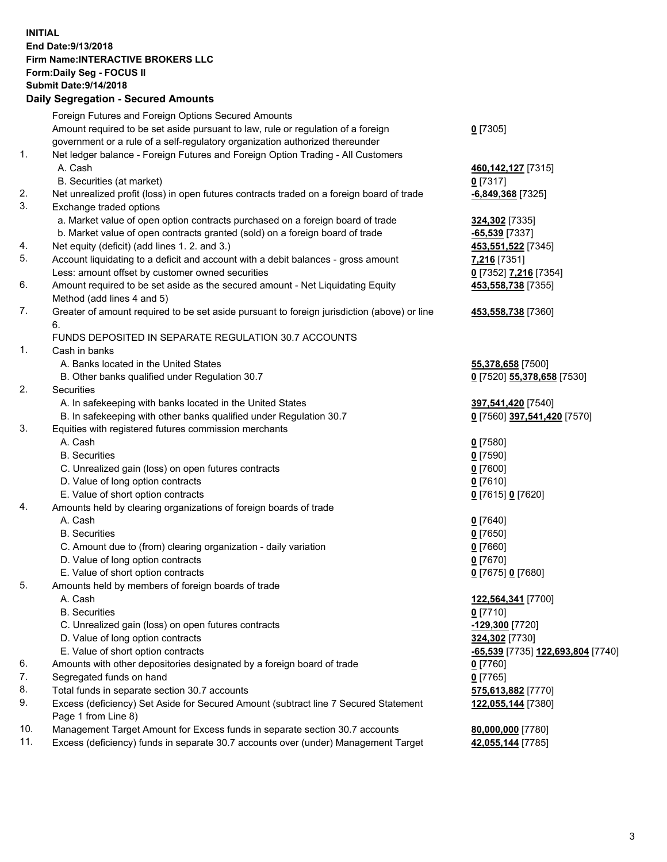## **INITIAL End Date:9/13/2018 Firm Name:INTERACTIVE BROKERS LLC Form:Daily Seg - FOCUS II Submit Date:9/14/2018 Daily Segregation - Secured Amounts**

|     | Daily Segregation - Secured Alliounts                                                                      |                                   |
|-----|------------------------------------------------------------------------------------------------------------|-----------------------------------|
|     | Foreign Futures and Foreign Options Secured Amounts                                                        |                                   |
|     | Amount required to be set aside pursuant to law, rule or regulation of a foreign                           | $0$ [7305]                        |
|     | government or a rule of a self-regulatory organization authorized thereunder                               |                                   |
| 1.  | Net ledger balance - Foreign Futures and Foreign Option Trading - All Customers                            |                                   |
|     | A. Cash                                                                                                    | 460, 142, 127 [7315]              |
|     | B. Securities (at market)                                                                                  | $0$ [7317]                        |
| 2.  | Net unrealized profit (loss) in open futures contracts traded on a foreign board of trade                  | $-6,849,368$ [7325]               |
| 3.  | Exchange traded options                                                                                    |                                   |
|     | a. Market value of open option contracts purchased on a foreign board of trade                             | 324,302 [7335]                    |
|     | b. Market value of open contracts granted (sold) on a foreign board of trade                               | -65,539 [7337]                    |
| 4.  | Net equity (deficit) (add lines 1. 2. and 3.)                                                              | 453,551,522 [7345]                |
| 5.  | Account liquidating to a deficit and account with a debit balances - gross amount                          | 7,216 [7351]                      |
|     | Less: amount offset by customer owned securities                                                           | 0 [7352] 7,216 [7354]             |
| 6.  | Amount required to be set aside as the secured amount - Net Liquidating Equity                             | 453,558,738 [7355]                |
| 7.  | Method (add lines 4 and 5)                                                                                 |                                   |
|     | Greater of amount required to be set aside pursuant to foreign jurisdiction (above) or line<br>6.          | 453,558,738 [7360]                |
|     | FUNDS DEPOSITED IN SEPARATE REGULATION 30.7 ACCOUNTS                                                       |                                   |
| 1.  | Cash in banks                                                                                              |                                   |
|     | A. Banks located in the United States                                                                      | 55,378,658 [7500]                 |
|     | B. Other banks qualified under Regulation 30.7                                                             | 0 [7520] 55,378,658 [7530]        |
| 2.  | Securities                                                                                                 |                                   |
|     | A. In safekeeping with banks located in the United States                                                  | 397,541,420 [7540]                |
|     | B. In safekeeping with other banks qualified under Regulation 30.7                                         | 0 [7560] 397,541,420 [7570]       |
| 3.  | Equities with registered futures commission merchants                                                      |                                   |
|     | A. Cash                                                                                                    | $0$ [7580]                        |
|     | <b>B.</b> Securities                                                                                       | $0$ [7590]                        |
|     | C. Unrealized gain (loss) on open futures contracts                                                        | $0$ [7600]                        |
|     | D. Value of long option contracts                                                                          | $0$ [7610]                        |
|     | E. Value of short option contracts                                                                         | 0 [7615] 0 [7620]                 |
| 4.  | Amounts held by clearing organizations of foreign boards of trade                                          |                                   |
|     | A. Cash                                                                                                    | $0$ [7640]                        |
|     | <b>B.</b> Securities                                                                                       | $0$ [7650]                        |
|     | C. Amount due to (from) clearing organization - daily variation                                            | $0$ [7660]                        |
|     | D. Value of long option contracts                                                                          | $0$ [7670]                        |
|     | E. Value of short option contracts                                                                         | 0 [7675] 0 [7680]                 |
| 5.  | Amounts held by members of foreign boards of trade                                                         |                                   |
|     | A. Cash                                                                                                    | 122,564,341 [7700]                |
|     | <b>B.</b> Securities                                                                                       | $0$ [7710]                        |
|     | C. Unrealized gain (loss) on open futures contracts                                                        | $-129,300$ [7720]                 |
|     | D. Value of long option contracts                                                                          | 324,302 [7730]                    |
|     | E. Value of short option contracts                                                                         | -65,539 [7735] 122,693,804 [7740] |
| 6.  | Amounts with other depositories designated by a foreign board of trade                                     | $0$ [7760]                        |
| 7.  | Segregated funds on hand                                                                                   | $0$ [7765]                        |
| 8.  | Total funds in separate section 30.7 accounts                                                              | 575,613,882 [7770]                |
| 9.  | Excess (deficiency) Set Aside for Secured Amount (subtract line 7 Secured Statement<br>Page 1 from Line 8) | 122,055,144 [7380]                |
| 10. | Management Target Amount for Excess funds in separate section 30.7 accounts                                | 80,000,000 [7780]                 |
| 11. | Excess (deficiency) funds in separate 30.7 accounts over (under) Management Target                         | 42,055,144 [7785]                 |
|     |                                                                                                            |                                   |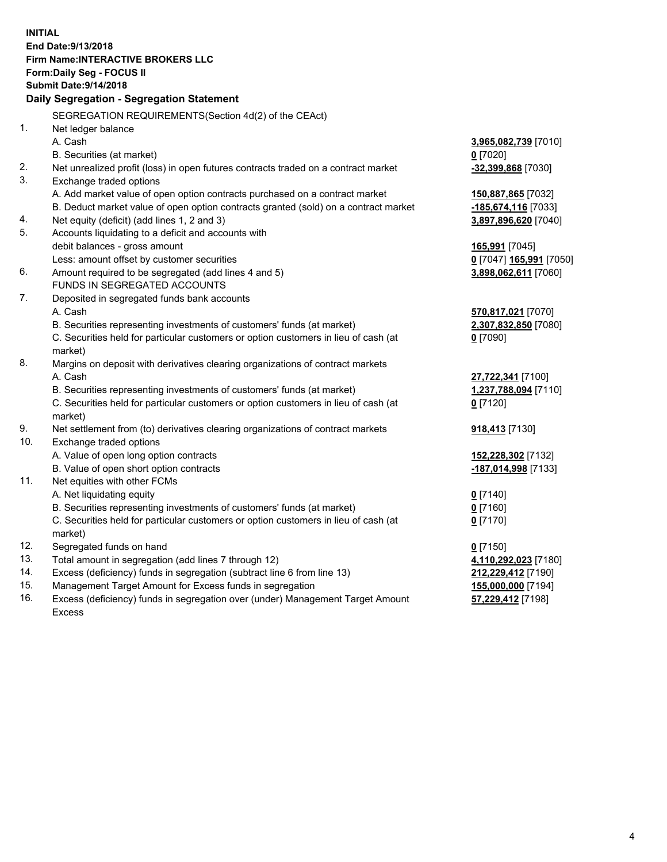**INITIAL End Date:9/13/2018 Firm Name:INTERACTIVE BROKERS LLC Form:Daily Seg - FOCUS II Submit Date:9/14/2018 Daily Segregation - Segregation Statement** SEGREGATION REQUIREMENTS(Section 4d(2) of the CEAct) 1. Net ledger balance A. Cash **3,965,082,739** [7010] B. Securities (at market) **0** [7020] 2. Net unrealized profit (loss) in open futures contracts traded on a contract market **-32,399,868** [7030] 3. Exchange traded options A. Add market value of open option contracts purchased on a contract market **150,887,865** [7032] B. Deduct market value of open option contracts granted (sold) on a contract market **-185,674,116** [7033] 4. Net equity (deficit) (add lines 1, 2 and 3) **3,897,896,620** [7040] 5. Accounts liquidating to a deficit and accounts with debit balances - gross amount **165,991** [7045] Less: amount offset by customer securities **0** [7047] **165,991** [7050] 6. Amount required to be segregated (add lines 4 and 5) **3,898,062,611** [7060] FUNDS IN SEGREGATED ACCOUNTS 7. Deposited in segregated funds bank accounts A. Cash **570,817,021** [7070] B. Securities representing investments of customers' funds (at market) **2,307,832,850** [7080] C. Securities held for particular customers or option customers in lieu of cash (at market) **0** [7090] 8. Margins on deposit with derivatives clearing organizations of contract markets A. Cash **27,722,341** [7100] B. Securities representing investments of customers' funds (at market) **1,237,788,094** [7110] C. Securities held for particular customers or option customers in lieu of cash (at market) **0** [7120] 9. Net settlement from (to) derivatives clearing organizations of contract markets **918,413** [7130] 10. Exchange traded options A. Value of open long option contracts **152,228,302** [7132] B. Value of open short option contracts **-187,014,998** [7133] 11. Net equities with other FCMs A. Net liquidating equity **0** [7140] B. Securities representing investments of customers' funds (at market) **0** [7160] C. Securities held for particular customers or option customers in lieu of cash (at market) **0** [7170] 12. Segregated funds on hand **0** [7150] 13. Total amount in segregation (add lines 7 through 12) **4,110,292,023** [7180] 14. Excess (deficiency) funds in segregation (subtract line 6 from line 13) **212,229,412** [7190] 15. Management Target Amount for Excess funds in segregation **155,000,000** [7194] **57,229,412** [7198]

16. Excess (deficiency) funds in segregation over (under) Management Target Amount Excess